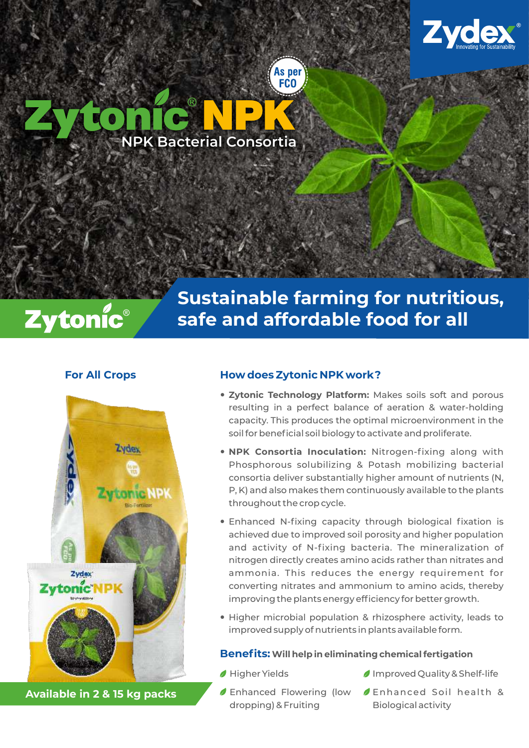



# Zytonic®

# **Sustainable farming for nutritious, safe and affordable food for all**

#### **For All Crops**



**Available in 2 & 15 kg packs**

# **How does Zytonic NPK work?**

As per

- **Zytonic Technology Platform:** Makes soils soft and porous resulting in a perfect balance of aeration & water-holding capacity. This produces the optimal microenvironment in the soil for beneficial soil biology to activate and proliferate.
- **NPK Consortia Inoculation:** Nitrogen-fixing along with Phosphorous solubilizing & Potash mobilizing bacterial consortia deliver substantially higher amount of nutrients (N, P, K) and also makes them continuously available to the plants throughout the crop cycle.
- Enhanced N-fixing capacity through biological fixation is achieved due to improved soil porosity and higher population and activity of N-fixing bacteria. The mineralization of nitrogen directly creates amino acids rather than nitrates and ammonia. This reduces the energy requirement for converting nitrates and ammonium to amino acids, thereby improving the plants energy efficiency for better growth.
- Higher microbial population & rhizosphere activity, leads to improved supply of nutrients in plants available form.

## **Benefits: Will help in eliminating chemical fertigation**

- Higher Yields
- **Enhanced Flowering (low** dropping) & Fruiting
- Improved Quality & Shelf-life
- Enhanced Soil health & Biological activity